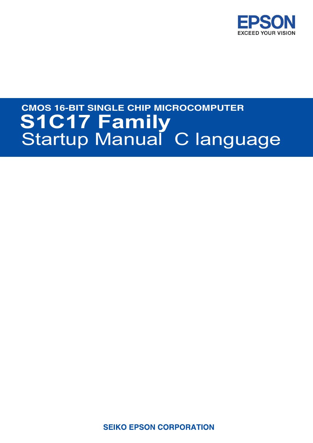

# Startup Manual C language CMOS 16-BIT SINGLE CHIP MIC<br>**S1C17 Family CMOS 16-BIT SINGLE CHIP MICROCOMPUTER**

**SEIKO EPSON CORPORATION**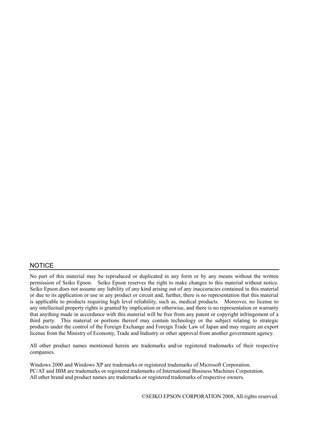### **NOTICE**

No part of this material may be reproduced or duplicated in any form or by any means without the written permission of Seiko Epson. Seiko Epson reserves the right to make changes to this material without notice. Seiko Epson does not assume any liability of any kind arising out of any inaccuracies contained in this material or due to its application or use in any product or circuit and, further, there is no representation that this material is applicable to products requiring high level reliability, such as, medical products. Moreover, no license to any intellectual property rights is granted by implication or otherwise, and there is no representation or warranty that anything made in accordance with this material will be free from any patent or copyright infringement of a third party. This material or portions thereof may contain technology or the subject relating to strategic products under the control of the Foreign Exchange and Foreign Trade Law of Japan and may require an export license from the Ministry of Economy, Trade and Industry or other approval from another government agency.

All other product names mentioned herein are trademarks and/or registered trademarks of their respective companies.

Windows 2000 and Windows XP are trademarks or registered trademarks of Microsoft Corporation. PC/AT and IBM are trademarks or registered trademarks of International Business Machines Corporation. All other brand and product names are trademarks or registered trademarks of respective owners.

©SEIKO EPSON CORPORATION 2008, All rights reserved.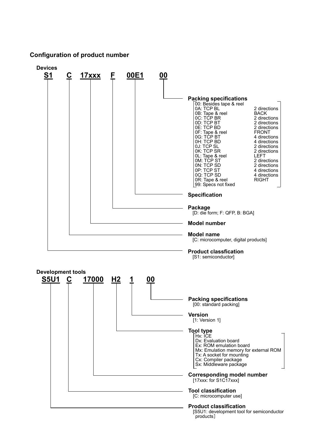### **Configuration of product number**



products]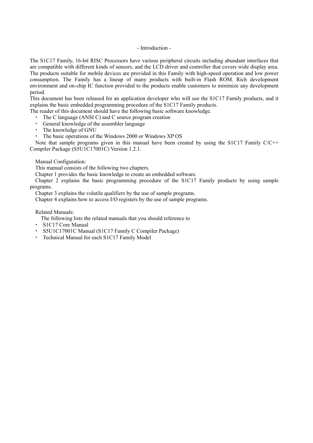#### - Introduction -

The S1C17 Family, 16-bit RISC Processors have various peripheral circuits including abundant interfaces that are compatible with different kinds of sensors, and the LCD driver and controller that covers wide display area. The products suitable for mobile devices are provided in this Family with high-speed operation and low power consumption. The Family has a lineup of many products with built-in Flash ROM. Rich development environment and on-chip IC function provided to the products enable customers to minimize any development period.

This document has been released for an application developer who will use the S1C17 Family products, and it explains the basic embedded programming procedure of the S1C17 Family products.

The reader of this document should have the following basic software knowledge.

- $\cdot$  The C language (ANSI C) and C source program creation
- x General knowledge of the assembler language
- The knowledge of GNU

The basic operations of the Windows 2000 or Windows XP OS

Note that sample programs given in this manual have been created by using the S1C17 Family C/C++ Compiler Package (S5U1C17001C) Version 1.2.1.

Manual Configuration:

This manual consists of the following two chapters.

Chapter 1 provides the basic knowledge to create an embedded software.

Chapter 2 explains the basic programming procedure of the S1C17 Family products by using sample programs.

Chapter 3 explains the volatile qualifiers by the use of sample programs.

Chapter 4 explains how to access I/O registers by the use of sample programs.

Related Manuals:

The following lists the related manuals that you should reference to

- S1C17 Core Manual
- x S5U1C17001C Manual (S1C17 Family C Compiler Package)
- Technical Manual for each S1C17 Family Model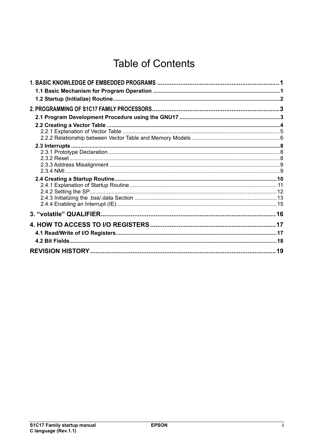## **Table of Contents**

| 19 |
|----|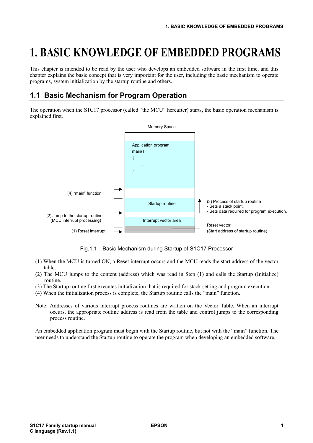## **1. BASIC KNOWLEDGE OF EMBEDDED PROGRAMS**

This chapter is intended to be read by the user who develops an embedded software in the first time, and this chapter explains the basic concept that is very important for the user, including the basic mechanism to operate programs, system initialization by the startup routine and others.

## **1.1 Basic Mechanism for Program Operation**

The operation when the S1C17 processor (called "the MCU" hereafter) starts, the basic operation mechanism is explained first.



Fig.1.1 Basic Mechanism during Startup of S1C17 Processor

- (1) When the MCU is turned ON, a Reset interrupt occurs and the MCU reads the start address of the vector table.
- (2) The MCU jumps to the content (address) which was read in Step (1) and calls the Startup (Initialize) routine.
- (3) The Startup routine first executes initialization that is required for stack setting and program execution.
- (4) When the initialization process is complete, the Startup routine calls the "main" function.
- Note: Addresses of various interrupt process routines are written on the Vector Table. When an interrupt occurs, the appropriate routine address is read from the table and control jumps to the corresponding process routine.

An embedded application program must begin with the Startup routine, but not with the "main" function. The user needs to understand the Startup routine to operate the program when developing an embedded software.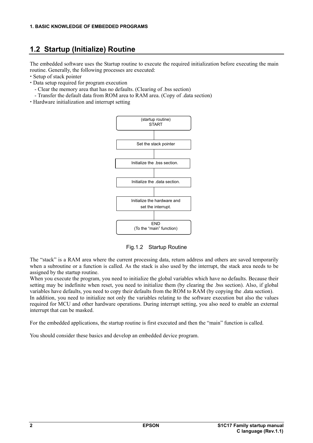## **1.2 Startup (Initialize) Routine**

The embedded software uses the Startup routine to execute the required initialization before executing the main routine. Generally, the following processes are executed:

- Setup of stack pointer
- x Data setup required for program execution
	- Clear the memory area that has no defaults. (Clearing of .bss section)
	- Transfer the default data from ROM area to RAM area. (Copy of .data section)
- x Hardware initialization and interrupt setting



Fig.1.2 Startup Routine

The "stack" is a RAM area where the current processing data, return address and others are saved temporarily when a subroutine or a function is called. As the stack is also used by the interrupt, the stack area needs to be assigned by the startup routine.

When you execute the program, you need to initialize the global variables which have no defaults. Because their setting may be indefinite when reset, you need to initialize them (by clearing the .bss section). Also, if global variables have defaults, you need to copy their defaults from the ROM to RAM (by copying the .data section).

In addition, you need to initialize not only the variables relating to the software execution but also the values required for MCU and other hardware operations. During interrupt setting, you also need to enable an external interrupt that can be masked.

For the embedded applications, the startup routine is first executed and then the "main" function is called.

You should consider these basics and develop an embedded device program.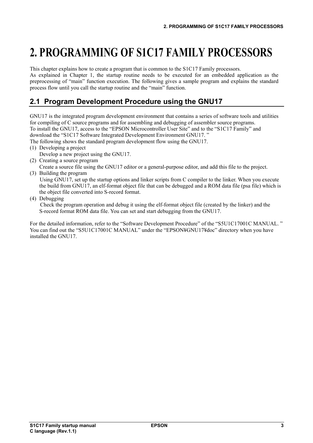## **2. PROGRAMMING OF S1C17 FAMILY PROCESSORS**

This chapter explains how to create a program that is common to the S1C17 Family processors. As explained in Chapter 1, the startup routine needs to be executed for an embedded application as the preprocessing of "main" function execution. The following gives a sample program and explains the standard process flow until you call the startup routine and the "main" function.

## **2.1 Program Development Procedure using the GNU17**

GNU17 is the integrated program development environment that contains a series of software tools and utilities for compiling of C source programs and for assembling and debugging of assembler source programs. To install the GNU17, access to the "EPSON Microcontroller User Site" and to the "S1C17 Family" and download the "S1C17 Software Integrated Development Environment GNU17. "

The following shows the standard program development flow using the GNU17.

- (1) Developing a project
- Develop a new project using the GNU17.
- (2) Creating a source program
- Create a source file using the GNU17 editor or a general-purpose editor, and add this file to the project. (3) Building the program

Using GNU17, set up the startup options and linker scripts from C compiler to the linker. When you execute the build from GNU17, an elf-format object file that can be debugged and a ROM data file (psa file) which is the object file converted into S-record format.

(4) Debugging

Check the program operation and debug it using the elf-format object file (created by the linker) and the S-record format ROM data file. You can set and start debugging from the GNU17.

For the detailed information, refer to the "Software Development Procedure" of the "S5U1C17001C MANUAL." You can find out the "S5U1C17001C MANUAL" under the "EPSON¥GNU17¥doc" directory when you have installed the GNU17.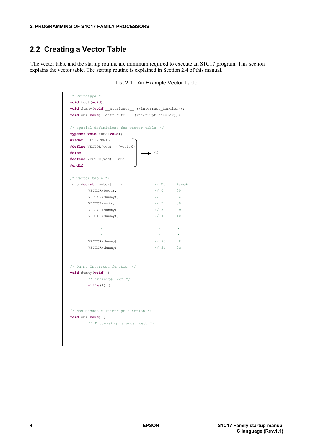## **2.2 Creating a Vector Table**

The vector table and the startup routine are minimum required to execute an S1C17 program. This section explains the vector table. The startup routine is explained in Section 2.4 of this manual.

List 2.1 An Example Vector Table

|               | /* Prototype */                                                                       |              |                |  |
|---------------|---------------------------------------------------------------------------------------|--------------|----------------|--|
|               | void boot (void);                                                                     |              |                |  |
|               | void dummy (void) attribute ((interrupt handler));                                    |              |                |  |
|               | void nmi(void) attribute ((interrupt handler));                                       |              |                |  |
|               |                                                                                       |              |                |  |
|               | /* special definitions for vector table */                                            |              |                |  |
|               | typedef void func (void) ;                                                            |              |                |  |
|               | #ifdef POINTER16                                                                      |              |                |  |
|               | #define VECTOR(vec) ((vec), 0)                                                        |              |                |  |
| #else         |                                                                                       | $\mathbb{O}$ |                |  |
|               | #define VECTOR (vec)<br>(vec)                                                         |              |                |  |
| #endif        |                                                                                       |              |                |  |
|               |                                                                                       |              |                |  |
|               | $/*$ vector table */                                                                  |              |                |  |
|               | func *const vector[] = {                                                              | // No        | Base+          |  |
|               | VECTOR (boot),                                                                        | $//$ 0       | 00             |  |
|               | VECTOR $(dummy)$ ,                                                                    | $//$ 1       | 04             |  |
|               | VECTOR(nmi),                                                                          | 1/2          | 08             |  |
|               | VECTOR $(dummy)$ ,                                                                    | 1/3          | 0 <sup>c</sup> |  |
|               | VECTOR $(dummy)$ ,                                                                    | 1/4          | 10             |  |
|               |                                                                                       | $\sim$       | $\sim$         |  |
|               |                                                                                       | $\sim$       | $\bullet$      |  |
|               |                                                                                       | $\bullet$    | $\sim$         |  |
|               | VECTOR $(dummy)$ ,                                                                    | 1/30         | 78             |  |
|               | VECTOR (dummy)                                                                        | 1/31         | 7c             |  |
| $\big\}$      |                                                                                       |              |                |  |
|               |                                                                                       |              |                |  |
|               | /* Dummy Interrupt function */                                                        |              |                |  |
|               | void dummy (void) {                                                                   |              |                |  |
|               | $/*$ infinite loop */                                                                 |              |                |  |
|               | while $(1)$ {                                                                         |              |                |  |
|               | $\left\{ \begin{array}{c} \lambda & \lambda \\ \lambda & \lambda \end{array} \right.$ |              |                |  |
| $\mathcal{F}$ |                                                                                       |              |                |  |
|               | /* Non Maskable Interrupt function */                                                 |              |                |  |
|               | void nmi (void) {                                                                     |              |                |  |
|               | /* Processing is undecided. */                                                        |              |                |  |
| $\big\}$      |                                                                                       |              |                |  |
|               |                                                                                       |              |                |  |
|               |                                                                                       |              |                |  |
|               |                                                                                       |              |                |  |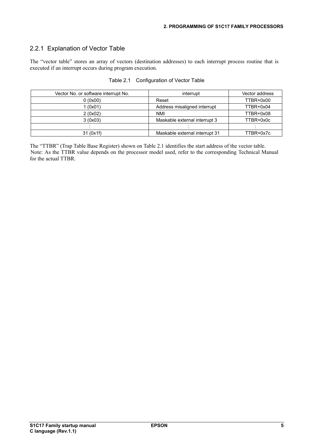## 2.2.1 Explanation of Vector Table

The "vector table" stores an array of vectors (destination addresses) to each interrupt process routine that is executed if an interrupt occurs during program execution.

| Vector No. or software interrupt No. | interrupt                      | Vector address |
|--------------------------------------|--------------------------------|----------------|
| 0(0x00)                              | Reset                          | TTBR+0x00      |
| 1(0x01)                              | Address misaligned interrupt   | TTBR+0x04      |
| 2(0x02)                              | <b>NMI</b>                     | TTBR+0x08      |
| 3(0x03)                              | Maskable external interrupt 3  | TTBR+0x0c      |
|                                      |                                |                |
| 31 (0x1f)                            | Maskable external interrupt 31 | TTBR+0x7c      |

#### Table 2.1 Configuration of Vector Table

The "TTBR" (Trap Table Base Register) shown on Table 2.1 identifies the start address of the vector table. Note: As the TTBR value depends on the processor model used, refer to the corresponding Technical Manual for the actual TTBR.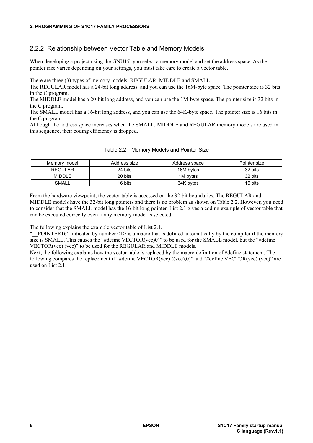#### **2. PROGRAMMING OF S1C17 FAMILY PROCESSORS**

## 2.2.2 Relationship between Vector Table and Memory Models

When developing a project using the GNU17, you select a memory model and set the address space. As the pointer size varies depending on your settings, you must take care to create a vector table.

There are three (3) types of memory models: REGULAR, MIDDLE and SMALL.

The REGULAR model has a 24-bit long address, and you can use the 16M-byte space. The pointer size is 32 bits in the C program.

The MIDDLE model has a 20-bit long address, and you can use the 1M-byte space. The pointer size is 32 bits in the C program.

The SMALL model has a 16-bit long address, and you can use the 64K-byte space. The pointer size is 16 bits in the C program.

Although the address space increases when the SMALL, MIDDLE and REGULAR memory models are used in this sequence, their coding efficiency is dropped.

| Memory model   | Address size | Address space | Pointer size |  |
|----------------|--------------|---------------|--------------|--|
| <b>REGULAR</b> | 24 bits      | 16M bytes     | 32 bits      |  |
| <b>MIDDLE</b>  | 20 bits      | 1M bytes      | 32 bits      |  |
| SMALL          | 16 bits      | 64K bytes     | 16 bits      |  |

| Table 2.2 Memory Models and Pointer Size |  |  |  |  |  |
|------------------------------------------|--|--|--|--|--|
|------------------------------------------|--|--|--|--|--|

From the hardware viewpoint, the vector table is accessed on the 32-bit boundaries. The REGULAR and MIDDLE models have the 32-bit long pointers and there is no problem as shown on Table 2.2. However, you need to consider that the SMALL model has the 16-bit long pointer. List 2.1 gives a coding example of vector table that can be executed correctly even if any memory model is selected.

The following explains the example vector table of List 2.1.

" $PONTER16" indicated by number <1> is a macro that is defined automatically by the compiler if the memory$ size is SMALL. This causes the "#define VECTOR(vec)0)" to be used for the SMALL model, but the "#define VECTOR(vec) (vec)" to be used for the REGULAR and MIDDLE models.

Next, the following explains how the vector table is replaced by the macro definition of #define statement. The following compares the replacement if "#define VECTOR(vec) ((vec),0)" and "#define VECTOR(vec) (vec)" are used on List 2.1.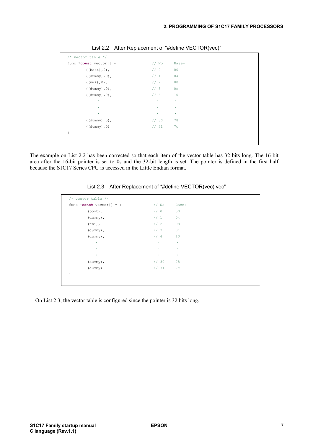| $/*$ vector table $*/$   |         |                |  |
|--------------------------|---------|----------------|--|
| func *const vector[] = { | $//$ No | Base+          |  |
| $( (boot), 0)$ ,         | $//$ 0  | 00             |  |
| $($ (dummy), $0)$ ,      | $//$ 1  | 04             |  |
| $( (nmi)$ , $0)$ ,       | 1/2     | 08             |  |
| $($ (dummy), $0)$ ,      | 1/3     | 0 <sub>c</sub> |  |
| $($ (dummy), $0)$ ,      | 1/4     | 10             |  |
| ٠                        | ٠       | ٠              |  |
| ٠                        | ٠       | ٠              |  |
| ٠                        | ٠       | ٠              |  |
| $($ (dummy), $0)$ ,      | 1/30    | 78             |  |
| ( (dump), 0)             | 1/31    | 7c             |  |
|                          |         |                |  |
|                          |         |                |  |
|                          |         |                |  |

List 2.2 After Replacement of "#define VECTOR(vec)"

The example on List 2.2 has been corrected so that each item of the vector table has 32 bits long. The 16-bit area after the 16-bit pointer is set to 0s and the 32-bit length is set. The pointer is defined in the first half because the S1C17 Series CPU is accessed in the Little Endian format.

| func *const vector[] = { | $//$ No   | Base+          |  |
|--------------------------|-----------|----------------|--|
| $(boot)$ ,               | $//$ 0    | 00             |  |
| $(dummy)$ ,              | //1       | 04             |  |
| $(nmi)$ ,                | 1/2       | 08             |  |
| $(dummy)$ ,              | 1/3       | 0 <sub>c</sub> |  |
| (dummy),                 | 1/4       | 10             |  |
| $\bullet$                | ٠         | ٠              |  |
| ٠                        | $\bullet$ | ٠              |  |
| ٠                        | ٠         | ٠              |  |
| (dummy),                 | 1/30      | 78             |  |
| (dummy)                  | 1/31      | 7c             |  |
|                          |           |                |  |

List 2.3 After Replacement of "#define VECTOR(vec) vec"

On List 2.3, the vector table is configured since the pointer is 32 bits long.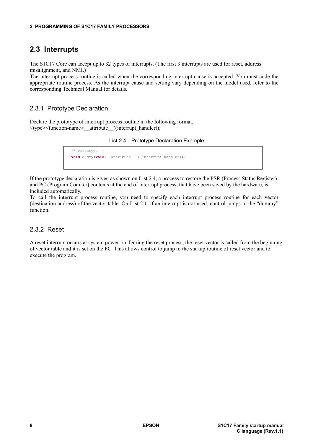## **2.3 Interrupts**

The S1C17 Core can accept up to 32 types of interrupts. (The first 3 interrupts are used for reset, address misalignment, and NMI.)

The interrupt process routine is called when the corresponding interrupt cause is accepted. You must code the appropriate routine process. As the interrupt cause and setting vary depending on the model used, refer to the corresponding Technical Manual for details.

## 2.3.1 Prototype Declaration

Declare the prototype of interrupt process routine in the following format.  $\langle$ type $>$ function-name $>$  attribute ((interrupt handler));

List 2.4 Prototype Declaration Example

```
/* Prototype */
void dummy(void)__attribute__ ((interrupt_handler));
```
If the prototype declaration is given as shown on List 2.4, a process to restore the PSR (Process Status Register) and PC (Program Counter) contents at the end of interrupt process, that have been saved by the hardware, is included automatically.

To call the interrupt process routine, you need to specify each interrupt process routine for each vector (destination address) of the vector table. On List 2.1, if an interrupt is not used, control jumps to the "dummy" function.

### 2.3.2 Reset

A reset interrupt occurs at system power-on. During the reset process, the reset vector is called from the beginning of vector table and it is set on the PC. This allows control to jump to the startup routine of reset vector and to execute the program.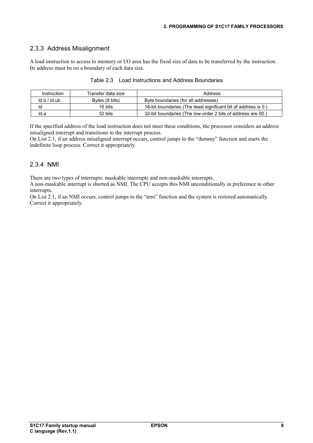## 2.3.3 Address Misalignment

A load instruction to access to memory or I/O area has the fixed size of data to be transferred by the instruction. Its address must be on a boundary of each data size.

| Instruction | Transfer data size | Address                                                        |
|-------------|--------------------|----------------------------------------------------------------|
| Id.b/Id.ub  | Bytes (8 bits)     | Byte boundaries (for all addresses)                            |
| ld          | 16 bits            | 16-bit boundaries (The least significant bit of address is 0.) |
| Id.a        | 32 bits            | 32-bit boundaries (The low-order 2 bits of address are 00.)    |

| Table 2.3 Load Instructions and Address Boundaries |  |
|----------------------------------------------------|--|
|----------------------------------------------------|--|

If the specified address of the load instruction does not meet these conditions, the processor considers an address misaligned interrupt and transitions to the interrupt process.

On List 2.1, if an address misaligned interrupt occurs, control jumps to the "dummy" function and starts the indefinite loop process. Correct it appropriately.

### 2.3.4 NMI

There are two types of interrupts: maskable interrupts and non-maskable interrupts.

A non-maskable interrupt is shorted as NMI. The CPU accepts this NMI unconditionally in preference to other interrupts.

On List 2.1, if an NMI occurs, control jumps to the "nmi" function and the system is restored automatically. Correct it appropriately.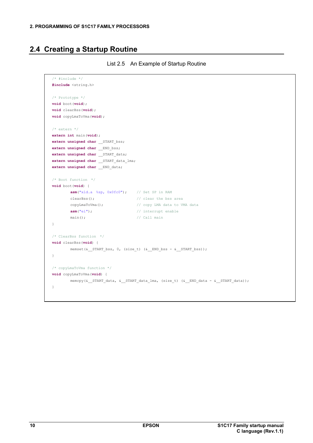## **2.4 Creating a Startup Routine**

```
/* #include */
#include <string.h>
/* Prototype */
void boot(void); 
void clearBss(void); 
void copyLmaToVma(void); 
/* extern */
extern int main(void);
extern unsigned char __START_bss; 
extern unsigned char __END_bss; 
extern unsigned char __START_data; 
extern unsigned char __START_data_lma; 
extern unsigned char __END_data;
/* Boot function */
void boot(void) { 
       asm("xld.a %sp, 0x0fc0"); // Set SP in RAM 
clearBss(); \sqrt{2} // clear the bss area
 copyLmaToVma(); // copy LMA data to VMA data 
       copyLmaToVma(); // copy LMA data to<br>asm("ei"); // interrupt enable
       \min(); // Call main
}
/* ClearBss function */
void clearBss(void) { 
        memset(&__START_bss, 0, (size_t) (&__END_bss - &__START_bss)); 
} 
/* copyLmaToVma function */
void copyLmaToVma(void) { 
        memcpy(&__START_data, &__START_data_lma, (size_t) (&__END_data - &__START_data)); 
}
```
List 2.5 An Example of Startup Routine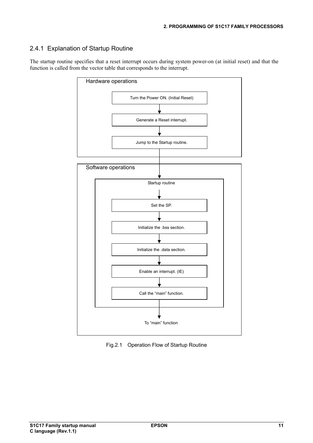## 2.4.1 Explanation of Startup Routine

The startup routine specifies that a reset interrupt occurs during system power-on (at initial reset) and that the function is called from the vector table that corresponds to the interrupt.



Fig.2.1 Operation Flow of Startup Routine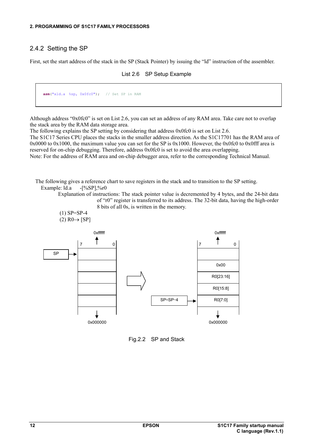#### **2. PROGRAMMING OF S1C17 FAMILY PROCESSORS**

## 2.4.2 Setting the SP

First, set the start address of the stack in the SP (Stack Pointer) by issuing the "ld" instruction of the assembler.

List 2.6 SP Setup Example

**asm**("xld.a %sp, 0x0fc0"); // Set SP in RAM

Although address "0x0fc0" is set on List 2.6, you can set an address of any RAM area. Take care not to overlap the stack area by the RAM data storage area.

The following explains the SP setting by considering that address 0x0fc0 is set on List 2.6.

The S1C17 Series CPU places the stacks in the smaller address direction. As the S1C17701 has the RAM area of 0x0000 to 0x1000, the maximum value you can set for the SP is 0x1000. However, the 0x0fc0 to 0x0fff area is reserved for on-chip debugging. Therefore, address 0x0fc0 is set to avoid the area overlapping.

Note: For the address of RAM area and on-chip debugger area, refer to the corresponding Technical Manual.

The following gives a reference chart to save registers in the stack and to transition to the SP setting.

Example: ld.a -[%SP],%r0

Explanation of instructions: The stack pointer value is decremented by 4 bytes, and the 24-bit data of "r0" register is transferred to its address. The 32-bit data, having the high-order 8 bits of all 0s, is written in the memory.

(1) SP=SP-4  $(2)$  R<sub>0</sub> $\rightarrow$  [SP]



Fig.2.2 SP and Stack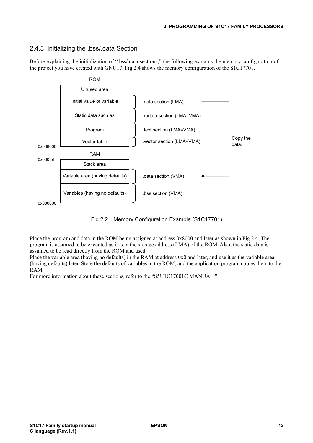## 2.4.3 Initializing the .bss/.data Section

Before explaining the initialization of ".bss/.data sections," the following explains the memory configuration of the project you have created with GNU17. Fig.2.4 shows the memory configuration of the S1C17701.



Fig.2.2 Memory Configuration Example (S1C17701)

Place the program and data in the ROM being assigned at address 0x8000 and later as shown in Fig.2.4. The program is assumed to be executed as it is in the storage address (LMA) of the ROM. Also, the static data is assumed to be read directly from the ROM and used.

Place the variable area (having no defaults) in the RAM at address 0x0 and later, and use it as the variable area (having defaults) later. Store the defaults of variables in the ROM, and the application program copies them to the RAM.

For more information about these sections, refer to the "S5U1C17001C MANUAL."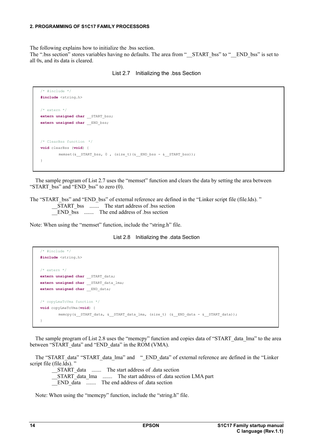#### **2. PROGRAMMING OF S1C17 FAMILY PROCESSORS**

The following explains how to initialize the .bss section. The ".bss section" stores variables having no defaults. The area from "\_\_START\_bss" to "\_\_END\_bss" is set to all 0s, and its data is cleared.

List 2.7 Initializing the .bss Section

```
/* #include */
#include <string.h> 
/* extern */
extern unsigned char __START_bss; 
extern unsigned char __END_bss; 
/* ClearBss function */
void clearBss (void) { 
       memset(&__START_bss, 0, (size_t)(&__END_bss - &__START_bss));
}
```
The sample program of List 2.7 uses the "memset" function and clears the data by setting the area between "START  $bss$ " and "END  $bss$ " to zero (0).

The "START bss" and "END bss" of external reference are defined in the "Linker script file (file.lds)." **START** bss ....... The start address of .bss section  $\overline{\phantom{a}}$ END bss ....... The end address of .bss section

Note: When using the "memset" function, include the "string.h" file.

List 2.8 Initializing the .data Section

```
/* #include */
#include <string.h> 
/* extern */
extern unsigned char __START_data; 
extern unsigned char __START_data_lma; 
extern unsigned char __END_data;
/* copyLmaToVma function */
void copyLmaToVma(void) { 
       memcpy(& START data, & START data lma, (size t) (& END data - & START data));
}
```
The sample program of List 2.8 uses the "memcpy" function and copies data of "START data lma" to the area between "START\_data" and "END\_data" in the ROM (VMA).

The "START\_data" "START\_data\_lma" and "\_END\_data" of external reference are defined in the "Linker script file (file.lds). "

START data ....... The start address of .data section START data lma ....... The start address of .data section LMA part \_\_END\_data ....... The end address of .data section

Note: When using the "memcpy" function, include the "string.h" file.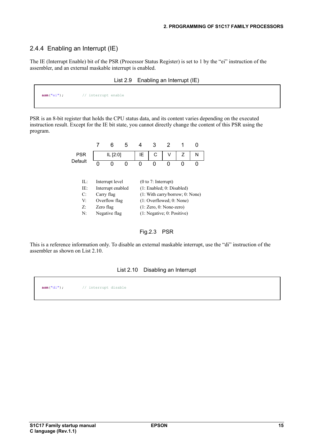## 2.4.4 Enabling an Interrupt (IE)

The IE (Interrupt Enable) bit of the PSR (Processor Status Register) is set to 1 by the "ei" instruction of the assembler, and an external maskable interrupt is enabled.

|  | $asm("ei");$ // interrupt enable |
|--|----------------------------------|
|--|----------------------------------|

PSR is an 8-bit register that holds the CPU status data, and its content varies depending on the executed instruction result. Except for the IE bit state, you cannot directly change the content of this PSR using the program.

| <b>PSR</b> | IL [2:0]                               |                 |   | IE | С                          | V                         | Z                               | N |
|------------|----------------------------------------|-----------------|---|----|----------------------------|---------------------------|---------------------------------|---|
| Default    |                                        | 0               | Ω | O  | Ω                          |                           |                                 |   |
|            |                                        |                 |   |    |                            |                           |                                 |   |
| Π÷         |                                        | Interrupt level |   |    | $(0 to 7:$ Interrupt)      |                           |                                 |   |
| IE:        | Interrupt enabled                      |                 |   |    |                            | (1: Enabled; 0: Disabled) |                                 |   |
| C:         |                                        | Carry flag      |   |    |                            |                           | (1: With carry/borrow; 0: None) |   |
| V          |                                        | Overflow flag   |   |    |                            | (1: Overflowed; 0: None)  |                                 |   |
| $Z$ :      | $(1: Zero, 0: None-zero)$<br>Zero flag |                 |   |    |                            |                           |                                 |   |
| N:         |                                        | Negative flag   |   |    | (1: Negative; 0: Positive) |                           |                                 |   |
|            |                                        |                 |   |    |                            |                           |                                 |   |



This is a reference information only. To disable an external maskable interrupt, use the "di" instruction of the assembler as shown on List 2.10.

#### List 2.10 Disabling an Interrupt

**asm**("di"); // interrupt disable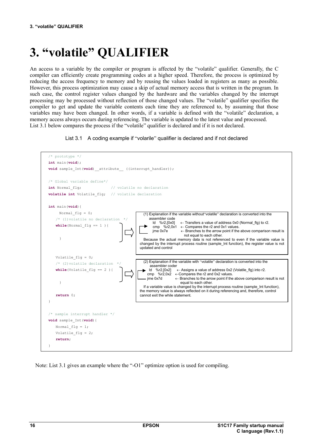## **3. "volatile" QUALIFIER**

An access to a variable by the compiler or program is affected by the "volatile" qualifier. Generally, the C compiler can efficiently create programming codes at a higher speed. Therefore, the process is optimized by reducing the access frequency to memory and by reusing the values loaded in registers as many as possible. However, this process optimization may cause a skip of actual memory access that is written in the program. In such case, the control register values changed by the hardware and the variables changed by the interrupt processing may be processed without reflection of those changed values. The "volatile" qualifier specifies the compiler to get and update the variable contents each time they are referenced to, by assuming that those variables may have been changed. In other words, if a variable is defined with the "volatile" declaration, a memory access always occurs during referencing. The variable is updated to the latest value and processed. List 3.1 below compares the process if the "volatile" qualifier is declared and if it is not declared.

List 3.1 A coding example if "volarile" qualifier is declared and if not declared



Note: List 3.1 gives an example where the "-O1" optimize option is used for compiling.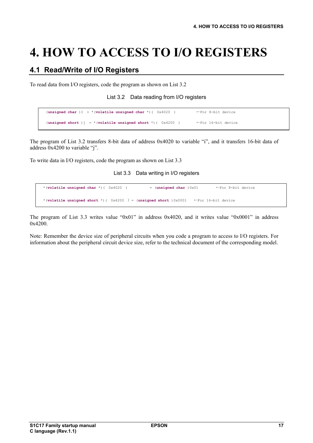## **4. HOW TO ACCESS TO I/O REGISTERS**

## **4.1 Read/Write of I/O Registers**

To read data from I/O registers, code the program as shown on List 3.2

#### List 3.2 Data reading from I/O registers

```
(unsigned char )I = *(volatile unsigned char *)( 0x4020 ) \leftarrowFor 8-bit device
(\text{unsigned short}) = *(\text{volatile unsigned short *}) ( 0x4200 ) \leftarrow For 16-bit device
```
The program of List 3.2 transfers 8-bit data of address 0x4020 to variable "i", and it transfers 16-bit data of address 0x4200 to variable "j".

To write data in I/O registers, code the program as shown on List 3.3

List 3.3 Data writing in I/O registers

\*(**volatile unsigned char** \*)( 0x4020 ) = (**unsigned char** )0x01 ←For 8-bit device \*(**volatile unsigned short** \*)( 0x4200 )= (**unsigned short** )0x0001 ←For 16-bit device

The program of List 3.3 writes value "0x01" in address 0x4020, and it writes value "0x0001" in address  $0x4200$ 

Note: Remember the device size of peripheral circuits when you code a program to access to I/O registers. For information about the peripheral circuit device size, refer to the technical document of the corresponding model.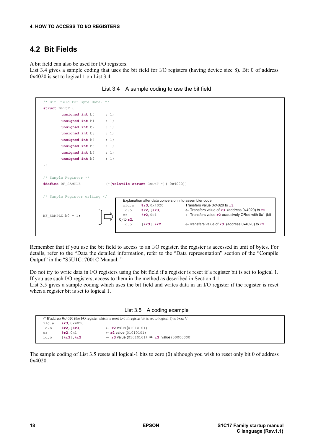## **4.2 Bit Fields**

A bit field can also be used for I/O registers.

List 3.4 gives a sample coding that uses the bit field for I/O registers (having device size 8). Bit 0 of address 0x4020 is set to logical 1 on List 3.4.

List 3.4 A sample coding to use the bit field

```
/* Bit Field For Byte Data. */
struct BbitF { 
        unsigned int b0 : 1;
        unsigned int b1 : 1;
        unsigned int b2 : 1;
        unsigned int b3 : 1;
        unsigned int b4 : 1;
         unsigned int b5 : 1;
        unsigned int b6 : 1;
        unsigned int b7 : 1;
}; 
/* Sample Register */ 
#define BF_SAMPLE (*(volatile struct BbitF *)( 0x4020))
/* Sample Register writing */ 
BF SAMPLE.b0 = 1;
                                      Explanation after data conversion into assembler code
                                      xld.a %r3,0x4020 Transfers value 0x4020 to r3.<br>1d.b %r2,[%r3] \leftarrow Transfers value of r3 (add
                                      ld.b \text{Tr}2, [\text{Tr}3] \leftarrow Transfers value of r3 (address 0x4020) to r2.
                                       or %r2,0x1 ← Transfers value r2 exclusively ORed with 0x1 (bit 
                                     0) to r2.
                                       ld.b [%r3],%r2 ←Transfers value of r3 (address 0x4020) to r2.
```
Remember that if you use the bit field to access to an I/O register, the register is accessed in unit of bytes. For details, refer to the "Data the detailed information, refer to the "Data representation" section of the "Compile Output" in the "S5U1C17001C Manual. "

Do not try to write data in I/O registers using the bit field if a register is reset if a register bit is set to logical 1. If you use such I/O registers, access to them in the method as described in Section 4.1. List 3.5 gives a sample coding which uses the bit field and writes data in an I/O register if the register is reset when a register bit is set to logical 1.

List 3.5 A coding example

| /* If address 0x4020 (the I/O register which is reset to 0 if register bit is set to logical 1) is 0xaa */ |                        |                                                                     |  |  |  |
|------------------------------------------------------------------------------------------------------------|------------------------|---------------------------------------------------------------------|--|--|--|
| xld.a                                                                                                      | $\frac{1}{2}$ , 0x4020 |                                                                     |  |  |  |
| ld.b                                                                                                       | 8r2, [8r3]             | $\leftarrow$ r2 value (01010101)                                    |  |  |  |
| or                                                                                                         | 8r2.0x1                | $\leftarrow$ r2 value (01010101)                                    |  |  |  |
| ld.b                                                                                                       | 8r31.8r2               | $\leftarrow$ r3 value (01010101) $\Rightarrow$ r3 value (000000000) |  |  |  |
|                                                                                                            |                        |                                                                     |  |  |  |

The sample coding of List 3.5 resets all logical-1 bits to zero (0) although you wish to reset only bit 0 of address 0x4020.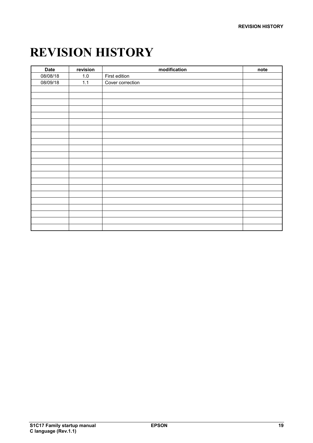## **REVISION HISTORY**

| <b>Date</b> | revision | modification     | note |
|-------------|----------|------------------|------|
| 08/08/18    | $1.0\,$  | First edition    |      |
| 08/09/18    | 1.1      | Cover correction |      |
|             |          |                  |      |
|             |          |                  |      |
|             |          |                  |      |
|             |          |                  |      |
|             |          |                  |      |
|             |          |                  |      |
|             |          |                  |      |
|             |          |                  |      |
|             |          |                  |      |
|             |          |                  |      |
|             |          |                  |      |
|             |          |                  |      |
|             |          |                  |      |
|             |          |                  |      |
|             |          |                  |      |
|             |          |                  |      |
|             |          |                  |      |
|             |          |                  |      |
|             |          |                  |      |
|             |          |                  |      |
|             |          |                  |      |
|             |          |                  |      |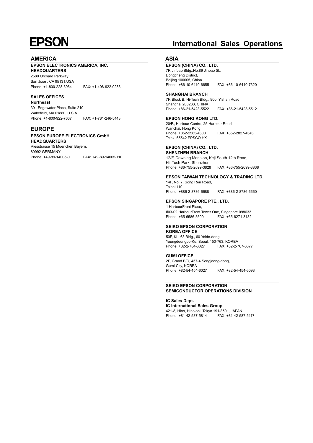## **EPSON**

#### **AMERICA**

#### **EPSON ELECTRONICS AMERICA, INC.**

**HEADQUARTERS**  2580 Orchard Parkway San Jose , CA 95131,USA Phone: +1-800-228-3964 FAX: +1-408-922-0238

#### **SALES OFFICES**

**Northeast** 301 Edgewater Place, Suite 210 Wakefield, MA 01880, U.S.A. Phone: +1-800-922-7667 FAX: +1-781-246-5443

#### **EUROPE**

**EPSON EUROPE ELECTRONICS GmbH HEADQUARTERS**  Riesstrasse 15 Muenchen Bayern,

80992 GERMANY Phone: +49-89-14005-0 FAX: +49-89-14005-110

## **International Sales Operations**

#### **ASIA**

**EPSON (CHINA) CO., LTD.** 7F, Jinbao Bldg.,No.89 Jinbao St., Dongcheng District, Beijing 100005, China Phone: +86-10-6410-6655 FAX: +86-10-6410-7320

#### **SHANGHAI BRANCH**

7F, Block B, Hi-Tech Bldg., 900, Yishan Road, Shanghai 200233, CHINA Phone: +86-21-5423-5522 FAX: +86-21-5423-5512

### **EPSON HONG KONG LTD.**

20/F., Harbour Centre, 25 Harbour Road Wanchai, Hong Kong Phone: +852-2585-4600 FAX: +852-2827-4346 Telex: 65542 EPSCO HX

#### **EPSON (CHINA) CO., LTD. SHENZHEN BRANCH**

12/F, Dawning Mansion, Keji South 12th Road, Hi- Tech Park, Shenzhen Phone: +86-755-2699-3828 FAX: +86-755-2699-3838

#### **EPSON TAIWAN TECHNOLOGY & TRADING LTD.**

14F, No. 7, Song Ren Road, Taipei 110 Phone: +886-2-8786-6688 FAX: +886-2-8786-6660

#### **EPSON SINGAPORE PTE., LTD.**

1 HarbourFront Place, #03-02 HarbourFront Tower One, Singapore 098633 Phone: +65-6586-5500 FAX: +65-6271-3182

#### **SEIKO EPSON CORPORATION KOREA OFFICE**

50F, KLI 63 Bldg., 60 Yoido-dong Youngdeungpo-Ku, Seoul, 150-763, KOREA Phone: +82-2-784-6027 FAX: +82-2-767-3677

#### **GUMI OFFICE**

2F, Grand B/D, 457-4 Songjeong-dong, Gumi-City, KOREA Phone: +82-54-454-6027 FAX: +82-54-454-6093

#### **SEIKO EPSON CORPORATION SEMICONDUCTOR OPERATIONS DIVISION**

**IC Sales Dept.**

**IC International Sales Group**  421-8, Hino, Hino-shi, Tokyo 191-8501, JAPAN Phone: +81-42-587-5814 FAX: +81-42-587-5117